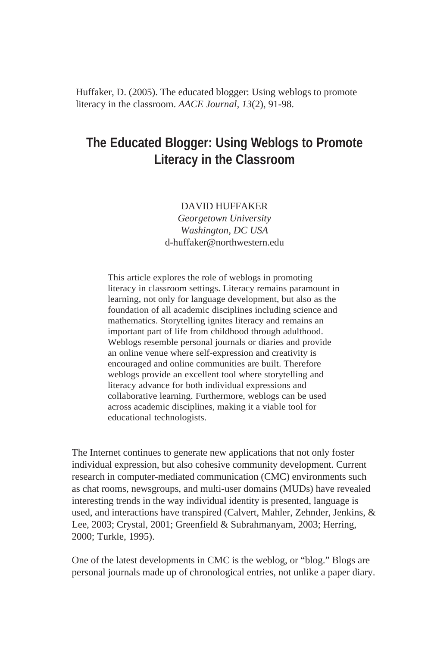Huffaker, D. (2005). The educated blogger: Using weblogs to promote literacy in the classroom. *AACE Journal, 13*(2), 91-98.

# **The Educated Blogger: Using Weblogs to Promote Literacy in the Classroom**

#### DAVID HUFFAKER

*Georgetown University Washington, DC USA* d-huffaker@northwestern.edu

This article explores the role of weblogs in promoting literacy in classroom settings. Literacy remains paramount in learning, not only for language development, but also as the foundation of all academic disciplines including science and mathematics. Storytelling ignites literacy and remains an important part of life from childhood through adulthood. Weblogs resemble personal journals or diaries and provide an online venue where self-expression and creativity is encouraged and online communities are built. Therefore weblogs provide an excellent tool where storytelling and literacy advance for both individual expressions and collaborative learning. Furthermore, weblogs can be used across academic disciplines, making it a viable tool for educational technologists.

The Internet continues to generate new applications that not only foster individual expression, but also cohesive community development. Current research in computer-mediated communication (CMC) environments such as chat rooms, newsgroups, and multi-user domains (MUDs) have revealed interesting trends in the way individual identity is presented, language is used, and interactions have transpired (Calvert, Mahler, Zehnder, Jenkins, & Lee, 2003; Crystal, 2001; Greenfield & Subrahmanyam, 2003; Herring, 2000; Turkle, 1995).

One of the latest developments in CMC is the weblog, or "blog." Blogs are personal journals made up of chronological entries, not unlike a paper diary.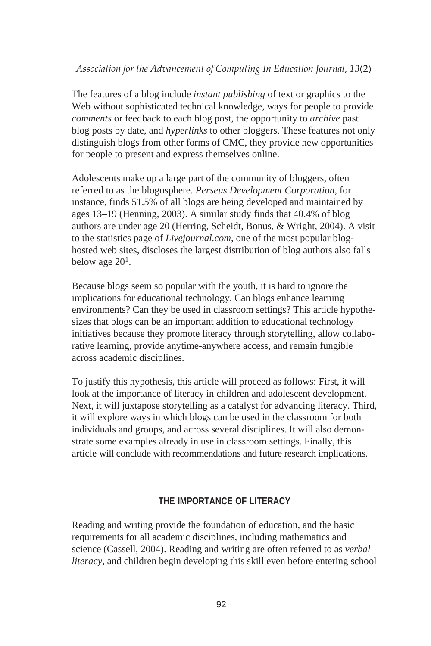## *Association for the Advancement of Computing In Education Journal*, *13*(2)

The features of a blog include *instant publishing* of text or graphics to the Web without sophisticated technical knowledge, ways for people to provide *comments* or feedback to each blog post, the opportunity to *archive* past blog posts by date, and *hyperlinks* to other bloggers. These features not only distinguish blogs from other forms of CMC, they provide new opportunities for people to present and express themselves online.

Adolescents make up a large part of the community of bloggers, often referred to as the blogosphere. *Perseus Development Corporation*, for instance, finds 51.5% of all blogs are being developed and maintained by ages 13–19 (Henning, 2003). A similar study finds that 40.4% of blog authors are under age 20 (Herring, Scheidt, Bonus, & Wright, 2004). A visit to the statistics page of *Livejournal.com*, one of the most popular bloghosted web sites, discloses the largest distribution of blog authors also falls below age  $20<sup>1</sup>$ .

Because blogs seem so popular with the youth, it is hard to ignore the implications for educational technology. Can blogs enhance learning environments? Can they be used in classroom settings? This article hypothesizes that blogs can be an important addition to educational technology initiatives because they promote literacy through storytelling, allow collaborative learning, provide anytime-anywhere access, and remain fungible across academic disciplines.

To justify this hypothesis, this article will proceed as follows: First, it will look at the importance of literacy in children and adolescent development. Next, it will juxtapose storytelling as a catalyst for advancing literacy. Third, it will explore ways in which blogs can be used in the classroom for both individuals and groups, and across several disciplines. It will also demonstrate some examples already in use in classroom settings. Finally, this article will conclude with recommendations and future research implications.

## **THE IMPORTANCE OF LITERACY**

Reading and writing provide the foundation of education, and the basic requirements for all academic disciplines, including mathematics and science (Cassell, 2004). Reading and writing are often referred to as *verbal literacy*, and children begin developing this skill even before entering school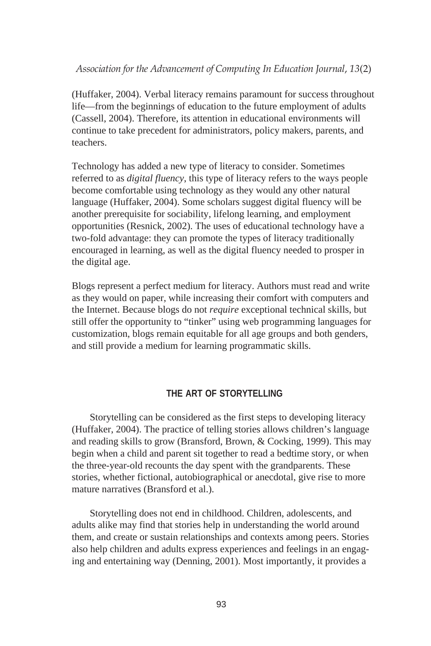(Huffaker, 2004). Verbal literacy remains paramount for success throughout life—from the beginnings of education to the future employment of adults (Cassell, 2004). Therefore, its attention in educational environments will continue to take precedent for administrators, policy makers, parents, and teachers.

Technology has added a new type of literacy to consider. Sometimes referred to as *digital fluency*, this type of literacy refers to the ways people become comfortable using technology as they would any other natural language (Huffaker, 2004). Some scholars suggest digital fluency will be another prerequisite for sociability, lifelong learning, and employment opportunities (Resnick, 2002). The uses of educational technology have a two-fold advantage: they can promote the types of literacy traditionally encouraged in learning, as well as the digital fluency needed to prosper in the digital age.

Blogs represent a perfect medium for literacy. Authors must read and write as they would on paper, while increasing their comfort with computers and the Internet. Because blogs do not *require* exceptional technical skills, but still offer the opportunity to "tinker" using web programming languages for customization, blogs remain equitable for all age groups and both genders, and still provide a medium for learning programmatic skills.

## **THE ART OF STORYTELLING**

Storytelling can be considered as the first steps to developing literacy (Huffaker, 2004). The practice of telling stories allows children's language and reading skills to grow (Bransford, Brown, & Cocking, 1999). This may begin when a child and parent sit together to read a bedtime story, or when the three-year-old recounts the day spent with the grandparents. These stories, whether fictional, autobiographical or anecdotal, give rise to more mature narratives (Bransford et al.).

Storytelling does not end in childhood. Children, adolescents, and adults alike may find that stories help in understanding the world around them, and create or sustain relationships and contexts among peers. Stories also help children and adults express experiences and feelings in an engaging and entertaining way (Denning, 2001). Most importantly, it provides a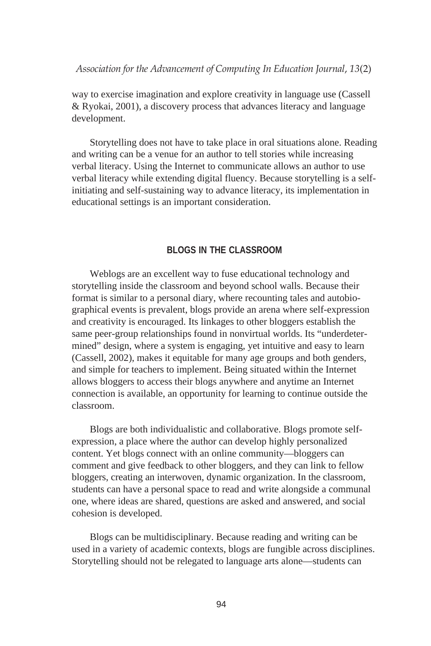way to exercise imagination and explore creativity in language use (Cassell & Ryokai, 2001), a discovery process that advances literacy and language development.

Storytelling does not have to take place in oral situations alone. Reading and writing can be a venue for an author to tell stories while increasing verbal literacy. Using the Internet to communicate allows an author to use verbal literacy while extending digital fluency. Because storytelling is a selfinitiating and self-sustaining way to advance literacy, its implementation in educational settings is an important consideration.

#### **BLOGS IN THE CLASSROOM**

Weblogs are an excellent way to fuse educational technology and storytelling inside the classroom and beyond school walls. Because their format is similar to a personal diary, where recounting tales and autobiographical events is prevalent, blogs provide an arena where self-expression and creativity is encouraged. Its linkages to other bloggers establish the same peer-group relationships found in nonvirtual worlds. Its "underdetermined" design, where a system is engaging, yet intuitive and easy to learn (Cassell, 2002), makes it equitable for many age groups and both genders, and simple for teachers to implement. Being situated within the Internet allows bloggers to access their blogs anywhere and anytime an Internet connection is available, an opportunity for learning to continue outside the classroom.

Blogs are both individualistic and collaborative. Blogs promote selfexpression, a place where the author can develop highly personalized content. Yet blogs connect with an online community—bloggers can comment and give feedback to other bloggers, and they can link to fellow bloggers, creating an interwoven, dynamic organization. In the classroom, students can have a personal space to read and write alongside a communal one, where ideas are shared, questions are asked and answered, and social cohesion is developed.

Blogs can be multidisciplinary. Because reading and writing can be used in a variety of academic contexts, blogs are fungible across disciplines. Storytelling should not be relegated to language arts alone—students can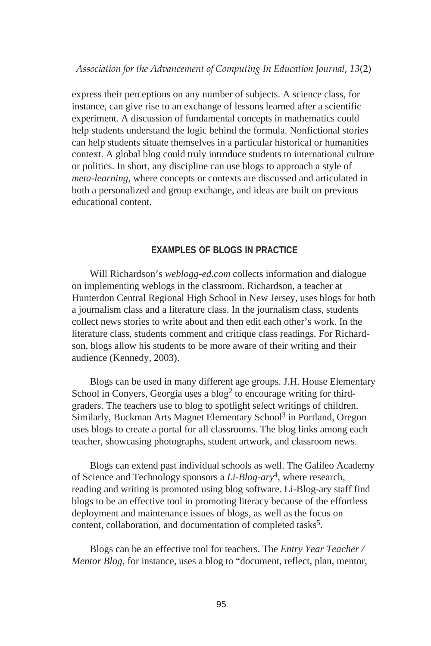express their perceptions on any number of subjects. A science class, for instance, can give rise to an exchange of lessons learned after a scientific experiment. A discussion of fundamental concepts in mathematics could help students understand the logic behind the formula. Nonfictional stories can help students situate themselves in a particular historical or humanities context. A global blog could truly introduce students to international culture or politics. In short, any discipline can use blogs to approach a style of *meta-learning*, where concepts or contexts are discussed and articulated in both a personalized and group exchange, and ideas are built on previous educational content.

#### **EXAMPLES OF BLOGS IN PRACTICE**

Will Richardson's *weblogg-ed.com* collects information and dialogue on implementing weblogs in the classroom. Richardson, a teacher at Hunterdon Central Regional High School in New Jersey, uses blogs for both a journalism class and a literature class. In the journalism class, students collect news stories to write about and then edit each other's work. In the literature class, students comment and critique class readings. For Richardson, blogs allow his students to be more aware of their writing and their audience (Kennedy, 2003).

Blogs can be used in many different age groups. J.H. House Elementary School in Conyers, Georgia uses a  $b \log^2 t$  to encourage writing for thirdgraders. The teachers use to blog to spotlight select writings of children. Similarly, Buckman Arts Magnet Elementary School<sup>3</sup> in Portland, Oregon uses blogs to create a portal for all classrooms. The blog links among each teacher, showcasing photographs, student artwork, and classroom news.

Blogs can extend past individual schools as well. The Galileo Academy of Science and Technology sponsors a *Li-Blog-ary*4, where research, reading and writing is promoted using blog software. Li-Blog-ary staff find blogs to be an effective tool in promoting literacy because of the effortless deployment and maintenance issues of blogs, as well as the focus on content, collaboration, and documentation of completed tasks<sup>5</sup>.

Blogs can be an effective tool for teachers. The *Entry Year Teacher / Mentor Blog*, for instance, uses a blog to "document, reflect, plan, mentor,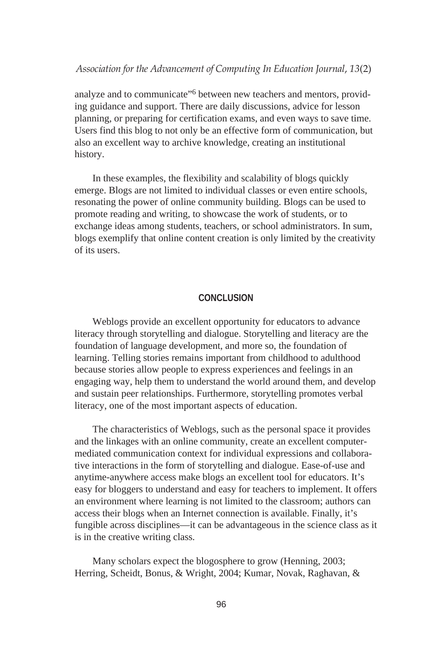analyze and to communicate"<sup>6</sup> between new teachers and mentors, providing guidance and support. There are daily discussions, advice for lesson planning, or preparing for certification exams, and even ways to save time. Users find this blog to not only be an effective form of communication, but also an excellent way to archive knowledge, creating an institutional history.

In these examples, the flexibility and scalability of blogs quickly emerge. Blogs are not limited to individual classes or even entire schools, resonating the power of online community building. Blogs can be used to promote reading and writing, to showcase the work of students, or to exchange ideas among students, teachers, or school administrators. In sum, blogs exemplify that online content creation is only limited by the creativity of its users.

#### **CONCLUSION**

Weblogs provide an excellent opportunity for educators to advance literacy through storytelling and dialogue. Storytelling and literacy are the foundation of language development, and more so, the foundation of learning. Telling stories remains important from childhood to adulthood because stories allow people to express experiences and feelings in an engaging way, help them to understand the world around them, and develop and sustain peer relationships. Furthermore, storytelling promotes verbal literacy, one of the most important aspects of education.

The characteristics of Weblogs, such as the personal space it provides and the linkages with an online community, create an excellent computermediated communication context for individual expressions and collaborative interactions in the form of storytelling and dialogue. Ease-of-use and anytime-anywhere access make blogs an excellent tool for educators. It's easy for bloggers to understand and easy for teachers to implement. It offers an environment where learning is not limited to the classroom; authors can access their blogs when an Internet connection is available. Finally, it's fungible across disciplines—it can be advantageous in the science class as it is in the creative writing class.

Many scholars expect the blogosphere to grow (Henning, 2003; Herring, Scheidt, Bonus, & Wright, 2004; Kumar, Novak, Raghavan, &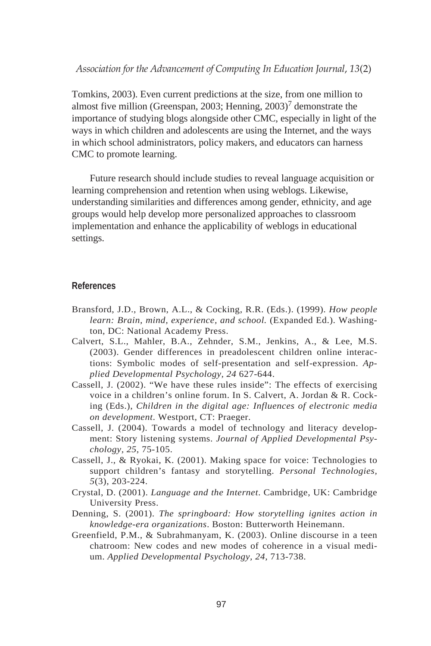Tomkins, 2003). Even current predictions at the size, from one million to almost five million (Greenspan, 2003; Henning, 2003)<sup>7</sup> demonstrate the importance of studying blogs alongside other CMC, especially in light of the ways in which children and adolescents are using the Internet, and the ways in which school administrators, policy makers, and educators can harness CMC to promote learning.

Future research should include studies to reveal language acquisition or learning comprehension and retention when using weblogs. Likewise, understanding similarities and differences among gender, ethnicity, and age groups would help develop more personalized approaches to classroom implementation and enhance the applicability of weblogs in educational settings.

### **References**

- Bransford, J.D., Brown, A.L., & Cocking, R.R. (Eds.). (1999). *How people learn: Brain, mind, experience, and school.* (Expanded Ed.). Washington, DC: National Academy Press.
- Calvert, S.L., Mahler, B.A., Zehnder, S.M., Jenkins, A., & Lee, M.S. (2003). Gender differences in preadolescent children online interactions: Symbolic modes of self-presentation and self-expression. *Applied Developmental Psychology, 24* 627-644.
- Cassell, J. (2002). "We have these rules inside": The effects of exercising voice in a children's online forum. In S. Calvert, A. Jordan & R. Cocking (Eds.), *Children in the digital age: Influences of electronic media on development*. Westport, CT: Praeger.
- Cassell, J. (2004). Towards a model of technology and literacy development: Story listening systems. *Journal of Applied Developmental Psychology, 25*, 75-105.
- Cassell, J., & Ryokai, K. (2001). Making space for voice: Technologies to support children's fantasy and storytelling. *Personal Technologies, 5*(3), 203-224.
- Crystal, D. (2001). *Language and the Internet*. Cambridge, UK: Cambridge University Press.
- Denning, S. (2001). *The springboard: How storytelling ignites action in knowledge-era organizations*. Boston: Butterworth Heinemann.
- Greenfield, P.M., & Subrahmanyam, K. (2003). Online discourse in a teen chatroom: New codes and new modes of coherence in a visual medium. *Applied Developmental Psychology, 24*, 713-738.